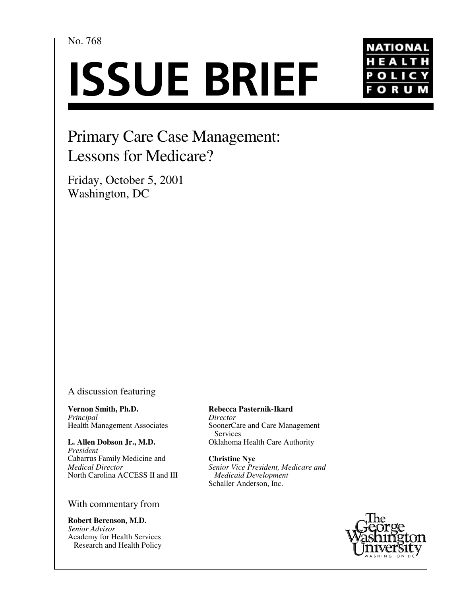# No. 768

# **ISSUE BRIEF**



# Primary Care Case Management: Lessons for Medicare?

Friday, October 5, 2001 Washington, DC

## A discussion featuring

**Vernon Smith, Ph.D.** *Principal* Health Management Associates

**L. Allen Dobson Jr., M.D.** *President* Cabarrus Family Medicine and *Medical Director* North Carolina ACCESS II and III

## With commentary from

**Robert Berenson, M.D.** *Senior Advisor* Academy for Health Services Research and Health Policy **Rebecca Pasternik-Ikard** *Director* SoonerCare and Care Management Services Oklahoma Health Care Authority

**Christine Nye** *Senior Vice President, Medicare and Medicaid Development* Schaller Anderson, Inc.

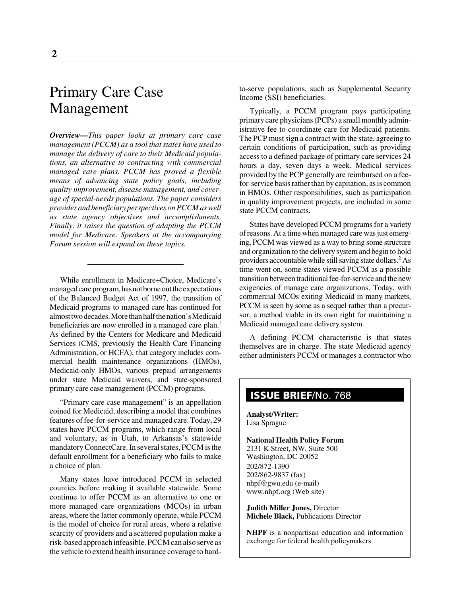# Primary Care Case Management

*Overview—This paper looks at primary care case management (PCCM) as a tool that states have used to manage the delivery of care to their Medicaid populations, an alternative to contracting with commercial managed care plans. PCCM has proved a flexible means of advancing state policy goals, including quality improvement, disease management, and coverage of special-needs populations. The paper considers provider and beneficiary perspectives on PCCM as well as state agency objectives and accomplishments. Finally, it raises the question of adapting the PCCM model for Medicare. Speakers at the accompanying Forum session will expand on these topics.*

While enrollment in Medicare+Choice, Medicare's managed care program, has not borne out the expectations of the Balanced Budget Act of 1997, the transition of Medicaid programs to managed care has continued for almost two decades. More than half the nation's Medicaid beneficiaries are now enrolled in a managed care plan.<sup>1</sup> As defined by the Centers for Medicare and Medicaid Services (CMS, previously the Health Care Financing Administration, or HCFA), that category includes commercial health maintenance organizations (HMOs), Medicaid-only HMOs, various prepaid arrangements under state Medicaid waivers, and state-sponsored primary care case management (PCCM) programs.

"Primary care case management" is an appellation coined for Medicaid, describing a model that combines features of fee-for-service and managed care. Today, 29 states have PCCM programs, which range from local and voluntary, as in Utah, to Arkansas's statewide mandatory ConnectCare. In several states, PCCM is the default enrollment for a beneficiary who fails to make a choice of plan.

Many states have introduced PCCM in selected counties before making it available statewide. Some continue to offer PCCM as an alternative to one or more managed care organizations (MCOs) in urban areas, where the latter commonly operate, while PCCM is the model of choice for rural areas, where a relative scarcity of providers and a scattered population make a risk-based approach infeasible. PCCM can also serve as the vehicle to extend health insurance coverage to hardto-serve populations, such as Supplemental Security Income (SSI) beneficiaries.

Typically, a PCCM program pays participating primary care physicians (PCPs) a small monthly administrative fee to coordinate care for Medicaid patients. The PCP must sign a contract with the state, agreeing to certain conditions of participation, such as providing access to a defined package of primary care services 24 hours a day, seven days a week. Medical services provided by the PCP generally are reimbursed on a feefor-service basis rather than by capitation, as is common in HMOs. Other responsibilities, such as participation in quality improvement projects, are included in some state PCCM contracts.

States have developed PCCM programs for a variety of reasons. At a time when managed care was just emerging, PCCM was viewed as a way to bring some structure and organization to the delivery system and begin to hold providers accountable while still saving state dollars. $^2$  As time went on, some states viewed PCCM as a possible transition between traditional fee-for-service and the new exigencies of manage care organizations. Today, with commercial MCOs exiting Medicaid in many markets, PCCM is seen by some as a sequel rather than a precursor, a method viable in its own right for maintaining a Medicaid managed care delivery system.

A defining PCCM characteristic is that states themselves are in charge. The state Medicaid agency either administers PCCM or manages a contractor who

## **ISSUE BRIEF**/No. 768

**Analyst/Writer:** Lisa Sprague

**National Health Policy Forum** 2131 K Street, NW, Suite 500 Washington, DC 20052 202/872-1390 202/862-9837 (fax) nhpf@gwu.edu (e-mail) www.nhpf.org (Web site)

**Judith Miller Jones,** Director **Michele Black,** Publications Director

**NHPF** is a nonpartisan education and information exchange for federal health policymakers.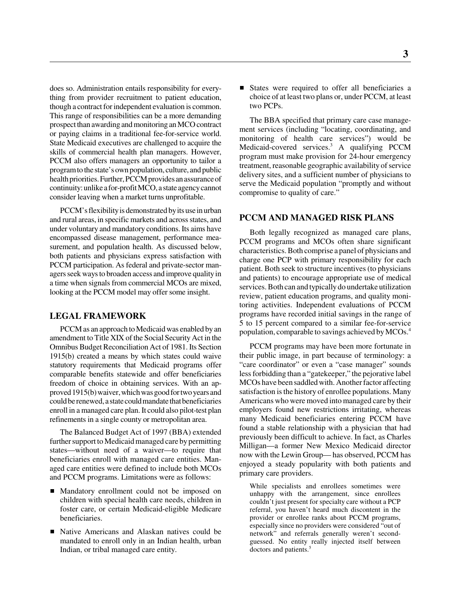does so. Administration entails responsibility for everything from provider recruitment to patient education, though a contract for independent evaluation is common. This range of responsibilities can be a more demanding prospect than awarding and monitoring an MCO contract or paying claims in a traditional fee-for-service world. State Medicaid executives are challenged to acquire the skills of commercial health plan managers. However, PCCM also offers managers an opportunity to tailor a program to the state's own population, culture, and public health priorities. Further, PCCM provides an assurance of continuity: unlike a for-profit MCO, a state agency cannot consider leaving when a market turns unprofitable.

PCCM's flexibility is demonstrated by its use in urban and rural areas, in specific markets and across states, and under voluntary and mandatory conditions. Its aims have encompassed disease management, performance measurement, and population health. As discussed below, both patients and physicians express satisfaction with PCCM participation. As federal and private-sector managers seek ways to broaden access and improve quality in a time when signals from commercial MCOs are mixed, looking at the PCCM model may offer some insight.

#### **LEGAL FRAMEWORK**

PCCM as an approach to Medicaid was enabled by an amendment to Title XIX of the Social Security Act in the Omnibus Budget Reconciliation Act of 1981. Its Section 1915(b) created a means by which states could waive statutory requirements that Medicaid programs offer comparable benefits statewide and offer beneficiaries freedom of choice in obtaining services. With an approved 1915(b) waiver, which was good for two years and could be renewed, a state could mandate that beneficiaries enroll in a managed care plan. It could also pilot-test plan refinements in a single county or metropolitan area.

The Balanced Budget Act of 1997 (BBA) extended further support to Medicaid managed care by permitting states—without need of a waiver—to require that beneficiaries enroll with managed care entities. Managed care entities were defined to include both MCOs and PCCM programs. Limitations were as follows:

- Mandatory enrollment could not be imposed on children with special health care needs, children in foster care, or certain Medicaid-eligible Medicare beneficiaries.
- Native Americans and Alaskan natives could be mandated to enroll only in an Indian health, urban Indian, or tribal managed care entity.

States were required to offer all beneficiaries a choice of at least two plans or, under PCCM, at least two PCPs.

The BBA specified that primary care case management services (including "locating, coordinating, and monitoring of health care services") would be Medicaid-covered services.<sup>3</sup> A qualifying PCCM program must make provision for 24-hour emergency treatment, reasonable geographic availability of service delivery sites, and a sufficient number of physicians to serve the Medicaid population "promptly and without compromise to quality of care."

#### **PCCM AND MANAGED RISK PLANS**

Both legally recognized as managed care plans, PCCM programs and MCOs often share significant characteristics. Both comprise a panel of physicians and charge one PCP with primary responsibility for each patient. Both seek to structure incentives (to physicians and patients) to encourage appropriate use of medical services. Both can and typically do undertake utilization review, patient education programs, and quality monitoring activities. Independent evaluations of PCCM programs have recorded initial savings in the range of 5 to 15 percent compared to a similar fee-for-service population, comparable to savings achieved by MCOs.4

PCCM programs may have been more fortunate in their public image, in part because of terminology: a "care coordinator" or even a "case manager" sounds less forbidding than a "gatekeeper," the pejorative label MCOs have been saddled with. Another factor affecting satisfaction is the history of enrollee populations. Many Americans who were moved into managed care by their employers found new restrictions irritating, whereas many Medicaid beneficiaries entering PCCM have found a stable relationship with a physician that had previously been difficult to achieve. In fact, as Charles Milligan—a former New Mexico Medicaid director now with the Lewin Group— has observed, PCCM has enjoyed a steady popularity with both patients and primary care providers.

While specialists and enrollees sometimes were unhappy with the arrangement, since enrollees couldn't just present for specialty care without a PCP referral, you haven't heard much discontent in the provider or enrollee ranks about PCCM programs, especially since no providers were considered "out of network" and referrals generally weren't secondguessed. No entity really injected itself between doctors and patients.<sup>5</sup>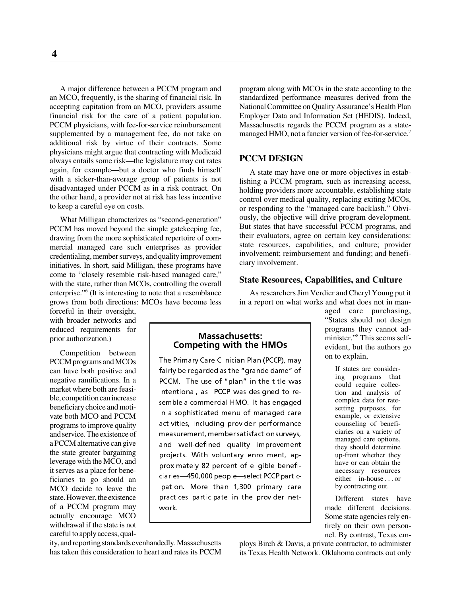A major difference between a PCCM program and an MCO, frequently, is the sharing of financial risk. In accepting capitation from an MCO, providers assume financial risk for the care of a patient population. PCCM physicians, with fee-for-service reimbursement supplemented by a management fee, do not take on additional risk by virtue of their contracts. Some physicians might argue that contracting with Medicaid always entails some risk—the legislature may cut rates again, for example—but a doctor who finds himself with a sicker-than-average group of patients is not disadvantaged under PCCM as in a risk contract. On the other hand, a provider not at risk has less incentive to keep a careful eye on costs.

What Milligan characterizes as "second-generation" PCCM has moved beyond the simple gatekeeping fee, drawing from the more sophisticated repertoire of commercial managed care such enterprises as provider credentialing, member surveys, and quality improvement initiatives. In short, said Milligan, these programs have come to "closely resemble risk-based managed care," with the state, rather than MCOs, controlling the overall enterprise."<sup>6</sup> (It is interesting to note that a resemblance grows from both directions: MCOs have become less

forceful in their oversight, with broader networks and reduced requirements for prior authorization.)

Competition between PCCM programs and MCOs can have both positive and negative ramifications. In a market where both are feasible, competition can increase beneficiary choice and motivate both MCO and PCCM programs to improve quality and service. The existence of a PCCM alternative can give the state greater bargaining leverage with the MCO, and it serves as a place for beneficiaries to go should an MCO decide to leave the state. However, the existence of a PCCM program may actually encourage MCO withdrawal if the state is not careful to apply access, qual-

ity, and reporting standards evenhandedly. Massachusetts has taken this consideration to heart and rates its PCCM program along with MCOs in the state according to the standardized performance measures derived from the National Committee on Quality Assurance's Health Plan Employer Data and Information Set (HEDIS). Indeed, Massachusetts regards the PCCM program as a statemanaged HMO, not a fancier version of fee-for-service.<sup>7</sup>

#### **PCCM DESIGN**

A state may have one or more objectives in establishing a PCCM program, such as increasing access, holding providers more accountable, establishing state control over medical quality, replacing exiting MCOs, or responding to the "managed care backlash." Obviously, the objective will drive program development. But states that have successful PCCM programs, and their evaluators, agree on certain key considerations: state resources, capabilities, and culture; provider involvement; reimbursement and funding; and beneficiary involvement.

#### **State Resources, Capabilities, and Culture**

As researchers Jim Verdier and Cheryl Young put it in a report on what works and what does not in man-

"States should not design programs they cannot administer."8 This seems selfevident, but the authors go on to explain,

> If states are considering programs that could require collection and analysis of complex data for ratesetting purposes, for example, or extensive counseling of beneficiaries on a variety of managed care options, they should determine up-front whether they have or can obtain the necessary resources either in-house . . . or by contracting out.

aged care purchasing,

Different states have made different decisions. Some state agencies rely entirely on their own personnel. By contrast, Texas em-

ploys Birch & Davis, a private contractor, to administer its Texas Health Network. Oklahoma contracts out only

#### **Massachusetts: Competing with the HMOs**

The Primary Care Clinician Plan (PCCP), may fairly be regarded as the "grande dame" of PCCM. The use of "plan" in the title was intentional, as PCCP was designed to resemble a commercial HMO. It has engaged in a sophisticated menu of managed care activities, including provider performance measurement, member satisfaction surveys, and well-defined quality improvement projects. With voluntary enrollment, approximately 82 percent of eligible beneficiaries-450,000 people-select PCCP participation. More than 1,300 primary care practices participate in the provider network.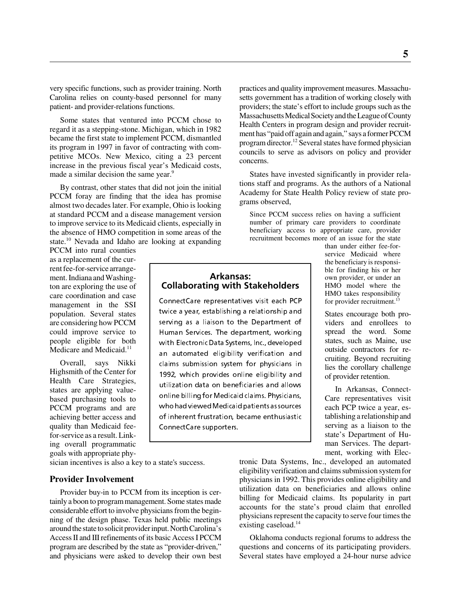very specific functions, such as provider training. North Carolina relies on county-based personnel for many patient- and provider-relations functions.

Some states that ventured into PCCM chose to regard it as a stepping-stone. Michigan, which in 1982 became the first state to implement PCCM, dismantled its program in 1997 in favor of contracting with competitive MCOs. New Mexico, citing a 23 percent increase in the previous fiscal year's Medicaid costs, made a similar decision the same year.<sup>9</sup>

By contrast, other states that did not join the initial PCCM foray are finding that the idea has promise almost two decades later. For example, Ohio is looking at standard PCCM and a disease management version to improve service to its Medicaid clients, especially in the absence of HMO competition in some areas of the state.10 Nevada and Idaho are looking at expanding

PCCM into rural counties as a replacement of the current fee-for-service arrangement. Indiana and Washington are exploring the use of care coordination and case management in the SSI population. Several states are considering how PCCM could improve service to people eligible for both Medicare and Medicaid.<sup>11</sup>

Overall, says Nikki Highsmith of the Center for Health Care Strategies, states are applying valuebased purchasing tools to PCCM programs and are achieving better access and quality than Medicaid feefor-service as a result. Linking overall programmatic goals with appropriate phy-

sician incentives is also a key to a state's success.

#### **Provider Involvement**

Provider buy-in to PCCM from its inception is certainly a boon to program management. Some states made considerable effort to involve physicians from the beginning of the design phase. Texas held public meetings around the state to solicit provider input. North Carolina's Access II and III refinements of its basic Access I PCCM program are described by the state as "provider-driven," and physicians were asked to develop their own best practices and quality improvement measures. Massachusetts government has a tradition of working closely with providers; the state's effort to include groups such as the Massachusetts Medical Society and the League of County Health Centers in program design and provider recruitment has "paid off again and again," says a former PCCM program director.12 Several states have formed physician councils to serve as advisors on policy and provider concerns.

States have invested significantly in provider relations staff and programs. As the authors of a National Academy for State Health Policy review of state programs observed,

Since PCCM success relies on having a sufficient number of primary care providers to coordinate beneficiary access to appropriate care, provider recruitment becomes more of an issue for the state

#### Arkansas: **Collaborating with Stakeholders**

ConnectCare representatives visit each PCP twice a year, establishing a relationship and serving as a liaison to the Department of Human Services. The department, working with Electronic Data Systems, Inc., developed an automated eligibility verification and claims submission system for physicians in 1992, which provides online eligibility and utilization data on beneficiaries and allows online billing for Medicaid claims. Physicians, who had viewed Medicaid patients as sources of inherent frustration, became enthusiastic ConnectCare supporters.

than under either fee-forservice Medicaid where the beneficiary is responsible for finding his or her own provider, or under an HMO model where the HMO takes responsibility for provider recruitment.<sup>13</sup>

States encourage both providers and enrollees to spread the word. Some states, such as Maine, use outside contractors for recruiting. Beyond recruiting lies the corollary challenge of provider retention.

In Arkansas, Connect-Care representatives visit each PCP twice a year, establishing a relationship and serving as a liaison to the state's Department of Human Services. The department, working with Elec-

tronic Data Systems, Inc., developed an automated eligibility verification and claims submission system for physicians in 1992. This provides online eligibility and utilization data on beneficiaries and allows online billing for Medicaid claims. Its popularity in part accounts for the state's proud claim that enrolled physicians represent the capacity to serve four times the existing caseload.<sup>14</sup>

Oklahoma conducts regional forums to address the questions and concerns of its participating providers. Several states have employed a 24-hour nurse advice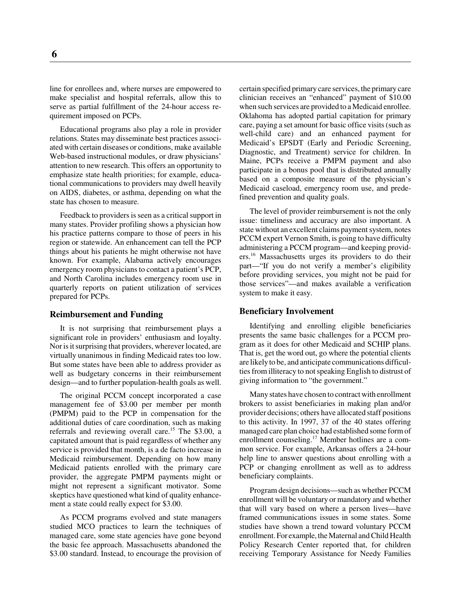line for enrollees and, where nurses are empowered to make specialist and hospital referrals, allow this to serve as partial fulfillment of the 24-hour access requirement imposed on PCPs.

Educational programs also play a role in provider relations. States may disseminate best practices associated with certain diseases or conditions, make available Web-based instructional modules, or draw physicians' attention to new research. This offers an opportunity to emphasize state health priorities; for example, educational communications to providers may dwell heavily on AIDS, diabetes, or asthma, depending on what the state has chosen to measure.

Feedback to providers is seen as a critical support in many states. Provider profiling shows a physician how his practice patterns compare to those of peers in his region or statewide. An enhancement can tell the PCP things about his patients he might otherwise not have known. For example, Alabama actively encourages emergency room physicians to contact a patient's PCP, and North Carolina includes emergency room use in quarterly reports on patient utilization of services prepared for PCPs.

#### **Reimbursement and Funding**

It is not surprising that reimbursement plays a significant role in providers' enthusiasm and loyalty. Nor is it surprising that providers, wherever located, are virtually unanimous in finding Medicaid rates too low. But some states have been able to address provider as well as budgetary concerns in their reimbursement design—and to further population-health goals as well.

The original PCCM concept incorporated a case management fee of \$3.00 per member per month (PMPM) paid to the PCP in compensation for the additional duties of care coordination, such as making referrals and reviewing overall care.<sup>15</sup> The \$3.00, a capitated amount that is paid regardless of whether any service is provided that month, is a de facto increase in Medicaid reimbursement. Depending on how many Medicaid patients enrolled with the primary care provider, the aggregate PMPM payments might or might not represent a significant motivator. Some skeptics have questioned what kind of quality enhancement a state could really expect for \$3.00.

As PCCM programs evolved and state managers studied MCO practices to learn the techniques of managed care, some state agencies have gone beyond the basic fee approach. Massachusetts abandoned the \$3.00 standard. Instead, to encourage the provision of certain specified primary care services, the primary care clinician receives an "enhanced" payment of \$10.00 when such services are provided to a Medicaid enrollee. Oklahoma has adopted partial capitation for primary care, paying a set amount for basic office visits (such as well-child care) and an enhanced payment for Medicaid's EPSDT (Early and Periodic Screening, Diagnostic, and Treatment) service for children. In Maine, PCPs receive a PMPM payment and also participate in a bonus pool that is distributed annually based on a composite measure of the physician's Medicaid caseload, emergency room use, and predefined prevention and quality goals.

The level of provider reimbursement is not the only issue: timeliness and accuracy are also important. A state without an excellent claims payment system, notes PCCM expert Vernon Smith, is going to have difficulty administering a PCCM program—and keeping providers.16 Massachusetts urges its providers to do their part—"If you do not verify a member's eligibility before providing services, you might not be paid for those services"—and makes available a verification system to make it easy.

#### **Beneficiary Involvement**

Identifying and enrolling eligible beneficiaries presents the same basic challenges for a PCCM program as it does for other Medicaid and SCHIP plans. That is, get the word out, go where the potential clients are likely to be, and anticipate communications difficulties from illiteracy to not speaking English to distrust of giving information to "the government."

Many states have chosen to contract with enrollment brokers to assist beneficiaries in making plan and/or provider decisions; others have allocated staff positions to this activity. In 1997, 37 of the 40 states offering managed care plan choice had established some form of enrollment counseling.<sup>17</sup> Member hotlines are a common service. For example, Arkansas offers a 24-hour help line to answer questions about enrolling with a PCP or changing enrollment as well as to address beneficiary complaints.

Program design decisions—such as whether PCCM enrollment will be voluntary or mandatory and whether that will vary based on where a person lives—have framed communications issues in some states. Some studies have shown a trend toward voluntary PCCM enrollment. For example, the Maternal and Child Health Policy Research Center reported that, for children receiving Temporary Assistance for Needy Families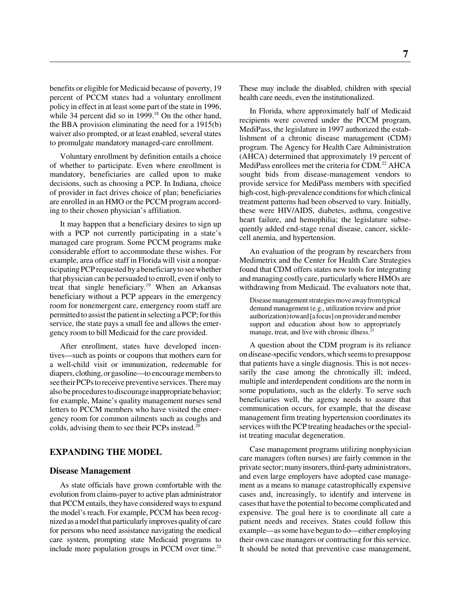benefits or eligible for Medicaid because of poverty, 19 percent of PCCM states had a voluntary enrollment policy in effect in at least some part of the state in 1996, while 34 percent did so in  $1999<sup>18</sup>$  On the other hand, the BBA provision eliminating the need for a 1915(b) waiver also prompted, or at least enabled, several states to promulgate mandatory managed-care enrollment.

Voluntary enrollment by definition entails a choice of whether to participate. Even where enrollment is mandatory, beneficiaries are called upon to make decisions, such as choosing a PCP. In Indiana, choice of provider in fact drives choice of plan; beneficiaries are enrolled in an HMO or the PCCM program according to their chosen physician's affiliation.

It may happen that a beneficiary desires to sign up with a PCP not currently participating in a state's managed care program. Some PCCM programs make considerable effort to accommodate these wishes. For example, area office staff in Florida will visit a nonparticipating PCP requested by a beneficiary to see whether that physician can be persuaded to enroll, even if only to treat that single beneficiary.19 When an Arkansas beneficiary without a PCP appears in the emergency room for nonemergent care, emergency room staff are permitted to assist the patient in selecting a PCP; for this service, the state pays a small fee and allows the emergency room to bill Medicaid for the care provided.

After enrollment, states have developed incentives—such as points or coupons that mothers earn for a well-child visit or immunization, redeemable for diapers, clothing, or gasoline—to encourage members to see their PCPs to receive preventive services. There may also be procedures to discourage inappropriate behavior; for example, Maine's quality management nurses send letters to PCCM members who have visited the emergency room for common ailments such as coughs and colds, advising them to see their PCPs instead.20

#### **EXPANDING THE MODEL**

#### **Disease Management**

As state officials have grown comfortable with the evolution from claims-payer to active plan administrator that PCCM entails, they have considered ways to expand the model's reach. For example, PCCM has been recognized as a model that particularly improves quality of care for persons who need assistance navigating the medical care system, prompting state Medicaid programs to include more population groups in PCCM over time. $21$ 

These may include the disabled, children with special health care needs, even the institutionalized.

In Florida, where approximately half of Medicaid recipients were covered under the PCCM program, MediPass, the legislature in 1997 authorized the establishment of a chronic disease management (CDM) program. The Agency for Health Care Administration (AHCA) determined that approximately 19 percent of MediPass enrollees met the criteria for CDM.<sup>22</sup> AHCA sought bids from disease-management vendors to provide service for MediPass members with specified high-cost, high-prevalence conditions for which clinical treatment patterns had been observed to vary. Initially, these were HIV/AIDS, diabetes, asthma, congestive heart failure, and hemophilia; the legislature subsequently added end-stage renal disease, cancer, sicklecell anemia, and hypertension.

An evaluation of the program by researchers from Medimetrix and the Center for Health Care Strategies found that CDM offers states new tools for integrating and managing costly care, particularly where HMOs are withdrawing from Medicaid. The evaluators note that,

Disease management strategies move away from typical demand management (e.g., utilization review and prior authorization) toward [a focus] on provider and member support and education about how to appropriately manage, treat, and live with chronic illness.<sup>2</sup>

A question about the CDM program is its reliance on disease-specific vendors, which seems to presuppose that patients have a single diagnosis. This is not necessarily the case among the chronically ill; indeed, multiple and interdependent conditions are the norm in some populations, such as the elderly. To serve such beneficiaries well, the agency needs to assure that communication occurs, for example, that the disease management firm treating hypertension coordinates its services with the PCP treating headaches or the specialist treating macular degeneration.

Case management programs utilizing nonphysician care managers (often nurses) are fairly common in the private sector; many insurers, third-party administrators, and even large employers have adopted case management as a means to manage catastrophically expensive cases and, increasingly, to identify and intervene in cases that have the potential to become complicated and expensive. The goal here is to coordinate all care a patient needs and receives. States could follow this example—as some have begun to do—either employing their own case managers or contracting for this service. It should be noted that preventive case management,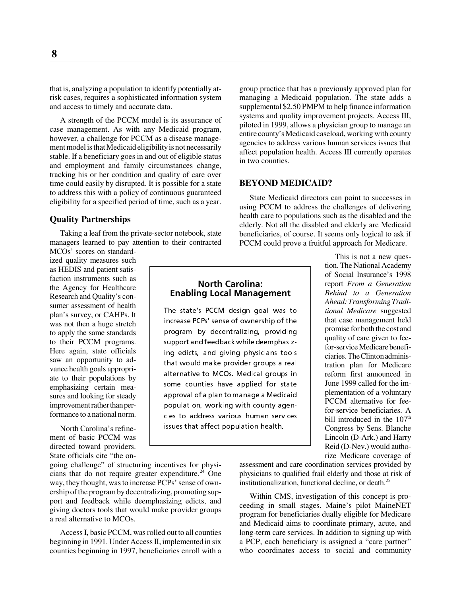that is, analyzing a population to identify potentially atrisk cases, requires a sophisticated information system and access to timely and accurate data.

A strength of the PCCM model is its assurance of case management. As with any Medicaid program, however, a challenge for PCCM as a disease management model is that Medicaid eligibility is not necessarily stable. If a beneficiary goes in and out of eligible status and employment and family circumstances change, tracking his or her condition and quality of care over time could easily by disrupted. It is possible for a state to address this with a policy of continuous guaranteed eligibility for a specified period of time, such as a year.

#### **Quality Partnerships**

Taking a leaf from the private-sector notebook, state managers learned to pay attention to their contracted MCOs' scores on standard-

ized quality measures such as HEDIS and patient satisfaction instruments such as the Agency for Healthcare Research and Quality's consumer assessment of health plan's survey, or CAHPs. It was not then a huge stretch to apply the same standards to their PCCM programs. Here again, state officials saw an opportunity to advance health goals appropriate to their populations by emphasizing certain measures and looking for steady improvement rather than performance to a national norm.

North Carolina's refinement of basic PCCM was directed toward providers. State officials cite "the on-

going challenge" of structuring incentives for physicians that do not require greater expenditure.<sup>24</sup> One way, they thought, was to increase PCPs' sense of ownership of the program by decentralizing, promoting support and feedback while deemphasizing edicts, and giving doctors tools that would make provider groups a real alternative to MCOs.

Access I, basic PCCM, was rolled out to all counties beginning in 1991. Under Access II, implemented in six counties beginning in 1997, beneficiaries enroll with a

group practice that has a previously approved plan for managing a Medicaid population. The state adds a supplemental \$2.50 PMPM to help finance information systems and quality improvement projects. Access III, piloted in 1999, allows a physician group to manage an entire county's Medicaid caseload, working with county agencies to address various human services issues that affect population health. Access III currently operates in two counties.

#### **BEYOND MEDICAID?**

State Medicaid directors can point to successes in using PCCM to address the challenges of delivering health care to populations such as the disabled and the elderly. Not all the disabled and elderly are Medicaid beneficiaries, of course. It seems only logical to ask if PCCM could prove a fruitful approach for Medicare.

#### North Carolina: **Enabling Local Management**

The state's PCCM design goal was to increase PCPs' sense of ownership of the program by decentralizing, providing support and feedback while deemphasizing edicts, and giving physicians tools that would make provider groups a real alternative to MCOs. Medical groups in some counties have applied for state approval of a plan to manage a Medicaid population, working with county agencies to address various human services issues that affect population health.

This is not a new question. The National Academy of Social Insurance's 1998 report *From a Generation Behind to a Generation Ahead: Transforming Traditional Medicare* suggested that case management held promise for both the cost and quality of care given to feefor-service Medicare beneficiaries. The Clinton administration plan for Medicare reform first announced in June 1999 called for the implementation of a voluntary PCCM alternative for feefor-service beneficiaries. A bill introduced in the  $107<sup>th</sup>$ Congress by Sens. Blanche Lincoln (D-Ark.) and Harry Reid (D-Nev.) would authorize Medicare coverage of

assessment and care coordination services provided by physicians to qualified frail elderly and those at risk of institutionalization, functional decline, or death. $^{25}$ 

Within CMS, investigation of this concept is proceeding in small stages. Maine's pilot MaineNET program for beneficiaries dually eligible for Medicare and Medicaid aims to coordinate primary, acute, and long-term care services. In addition to signing up with a PCP, each beneficiary is assigned a "care partner" who coordinates access to social and community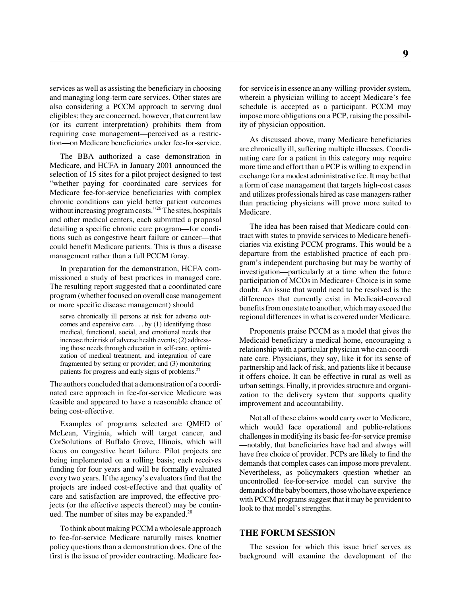services as well as assisting the beneficiary in choosing and managing long-term care services. Other states are also considering a PCCM approach to serving dual eligibles; they are concerned, however, that current law (or its current interpretation) prohibits them from requiring case management—perceived as a restriction—on Medicare beneficiaries under fee-for-service.

The BBA authorized a case demonstration in Medicare, and HCFA in January 2001 announced the selection of 15 sites for a pilot project designed to test "whether paying for coordinated care services for Medicare fee-for-service beneficiaries with complex chronic conditions can yield better patient outcomes without increasing program costs."<sup>26</sup> The sites, hospitals and other medical centers, each submitted a proposal detailing a specific chronic care program—for conditions such as congestive heart failure or cancer—that could benefit Medicare patients. This is thus a disease management rather than a full PCCM foray.

In preparation for the demonstration, HCFA commissioned a study of best practices in managed care. The resulting report suggested that a coordinated care program (whether focused on overall case management or more specific disease management) should

serve chronically ill persons at risk for adverse outcomes and expensive care . . . by (1) identifying those medical, functional, social, and emotional needs that increase their risk of adverse health events; (2) addressing those needs through education in self-care, optimization of medical treatment, and integration of care fragmented by setting or provider; and (3) monitoring patients for progress and early signs of problems.<sup>27</sup>

The authors concluded that a demonstration of a coordinated care approach in fee-for-service Medicare was feasible and appeared to have a reasonable chance of being cost-effective.

Examples of programs selected are QMED of McLean, Virginia, which will target cancer, and CorSolutions of Buffalo Grove, Illinois, which will focus on congestive heart failure. Pilot projects are being implemented on a rolling basis; each receives funding for four years and will be formally evaluated every two years. If the agency's evaluators find that the projects are indeed cost-effective and that quality of care and satisfaction are improved, the effective projects (or the effective aspects thereof) may be continued. The number of sites may be expanded. $^{28}$ 

To think about making PCCM a wholesale approach to fee-for-service Medicare naturally raises knottier policy questions than a demonstration does. One of the first is the issue of provider contracting. Medicare feefor-service is in essence an any-willing-provider system, wherein a physician willing to accept Medicare's fee schedule is accepted as a participant. PCCM may impose more obligations on a PCP, raising the possibility of physician opposition.

As discussed above, many Medicare beneficiaries are chronically ill, suffering multiple illnesses. Coordinating care for a patient in this category may require more time and effort than a PCP is willing to expend in exchange for a modest administrative fee. It may be that a form of case management that targets high-cost cases and utilizes professionals hired as case managers rather than practicing physicians will prove more suited to Medicare.

The idea has been raised that Medicare could contract with states to provide services to Medicare beneficiaries via existing PCCM programs. This would be a departure from the established practice of each program's independent purchasing but may be worthy of investigation—particularly at a time when the future participation of MCOs in Medicare+ Choice is in some doubt. An issue that would need to be resolved is the differences that currently exist in Medicaid-covered benefits from one state to another, which may exceed the regional differences in what is covered under Medicare.

Proponents praise PCCM as a model that gives the Medicaid beneficiary a medical home, encouraging a relationship with a particular physician who can coordinate care. Physicians, they say, like it for its sense of partnership and lack of risk, and patients like it because it offers choice. It can be effective in rural as well as urban settings. Finally, it provides structure and organization to the delivery system that supports quality improvement and accountability.

Not all of these claims would carry over to Medicare, which would face operational and public-relations challenges in modifying its basic fee-for-service premise —notably, that beneficiaries have had and always will have free choice of provider. PCPs are likely to find the demands that complex cases can impose more prevalent. Nevertheless, as policymakers question whether an uncontrolled fee-for-service model can survive the demands of the baby boomers, those who have experience with PCCM programs suggest that it may be provident to look to that model's strengths.

#### **THE FORUM SESSION**

The session for which this issue brief serves as background will examine the development of the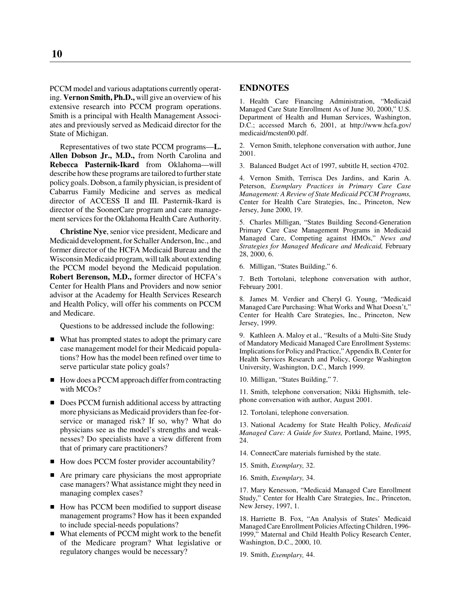PCCM model and various adaptations currently operating. **Vernon Smith, Ph.D.,** will give an overview of his extensive research into PCCM program operations. Smith is a principal with Health Management Associates and previously served as Medicaid director for the State of Michigan.

Representatives of two state PCCM programs—**L. Allen Dobson Jr., M.D.,** from North Carolina and **Rebecca Pasternik-Ikard** from Oklahoma—will describe how these programs are tailored to further state policy goals. Dobson, a family physician, is president of Cabarrus Family Medicine and serves as medical director of ACCESS II and III. Pasternik-Ikard is director of the SoonerCare program and care management services for the Oklahoma Health Care Authority.

**Christine Nye**, senior vice president, Medicare and Medicaid development, for Schaller Anderson, Inc., and former director of the HCFA Medicaid Bureau and the Wisconsin Medicaid program, will talk about extending the PCCM model beyond the Medicaid population. **Robert Berenson, M.D.,** former director of HCFA's Center for Health Plans and Providers and now senior advisor at the Academy for Health Services Research and Health Policy, will offer his comments on PCCM and Medicare.

Questions to be addressed include the following:

- What has prompted states to adopt the primary care case management model for their Medicaid populations? How has the model been refined over time to serve particular state policy goals?
- How does a PCCM approach differ from contracting with MCOs?
- Does PCCM furnish additional access by attracting more physicians as Medicaid providers than fee-forservice or managed risk? If so, why? What do physicians see as the model's strengths and weaknesses? Do specialists have a view different from that of primary care practitioners?
- How does PCCM foster provider accountability?
- Are primary care physicians the most appropriate case managers? What assistance might they need in managing complex cases?
- How has PCCM been modified to support disease management programs? How has it been expanded to include special-needs populations?
- What elements of PCCM might work to the benefit of the Medicare program? What legislative or regulatory changes would be necessary?

#### **ENDNOTES**

1. Health Care Financing Administration, "Medicaid Managed Care State Enrollment As of June 30, 2000," U.S. Department of Health and Human Services, Washington, D.C.; accessed March 6, 2001, at http://www.hcfa.gov/ medicaid/mcsten00.pdf.

2. Vernon Smith, telephone conversation with author, June 2001.

3. Balanced Budget Act of 1997, subtitle H, section 4702.

4. Vernon Smith, Terrisca Des Jardins, and Karin A. Peterson, *Exemplary Practices in Primary Care Case Management: A Review of State Medicaid PCCM Programs,* Center for Health Care Strategies, Inc., Princeton, New Jersey, June 2000, 19.

5. Charles Milligan, "States Building Second-Generation Primary Care Case Management Programs in Medicaid Managed Care, Competing against HMOs," *News and Strategies for Managed Medicare and Medicaid,* February 28, 2000, 6.

6. Milligan, "States Building," 6.

7. Beth Tortolani, telephone conversation with author, February 2001.

8. James M. Verdier and Cheryl G. Young, "Medicaid Managed Care Purchasing: What Works and What Doesn't," Center for Health Care Strategies, Inc., Princeton, New Jersey, 1999.

9. Kathleen A. Maloy et al., "Results of a Multi-Site Study of Mandatory Medicaid Managed Care Enrollment Systems: Implications for Policy and Practice," Appendix B, Center for Health Services Research and Policy, George Washington University, Washington, D.C., March 1999.

10. Milligan, "States Building," 7.

11. Smith, telephone conversation; Nikki Highsmith, telephone conversation with author, August 2001.

12. Tortolani, telephone conversation.

13. National Academy for State Health Policy, *Medicaid Managed Care: A Guide for States,* Portland, Maine, 1995, 24.

- 14. ConnectCare materials furnished by the state.
- 15. Smith, *Exemplary,* 32.
- 16. Smith, *Exemplary,* 34.

17. Mary Kenesson, "Medicaid Managed Care Enrollment Study," Center for Health Care Strategies, Inc., Princeton, New Jersey, 1997, 1.

18. Harriette B. Fox, "An Analysis of States' Medicaid Managed Care Enrollment Policies Affecting Children, 1996- 1999," Maternal and Child Health Policy Research Center, Washington, D.C., 2000, 10.

19. Smith, *Exemplary,* 44.